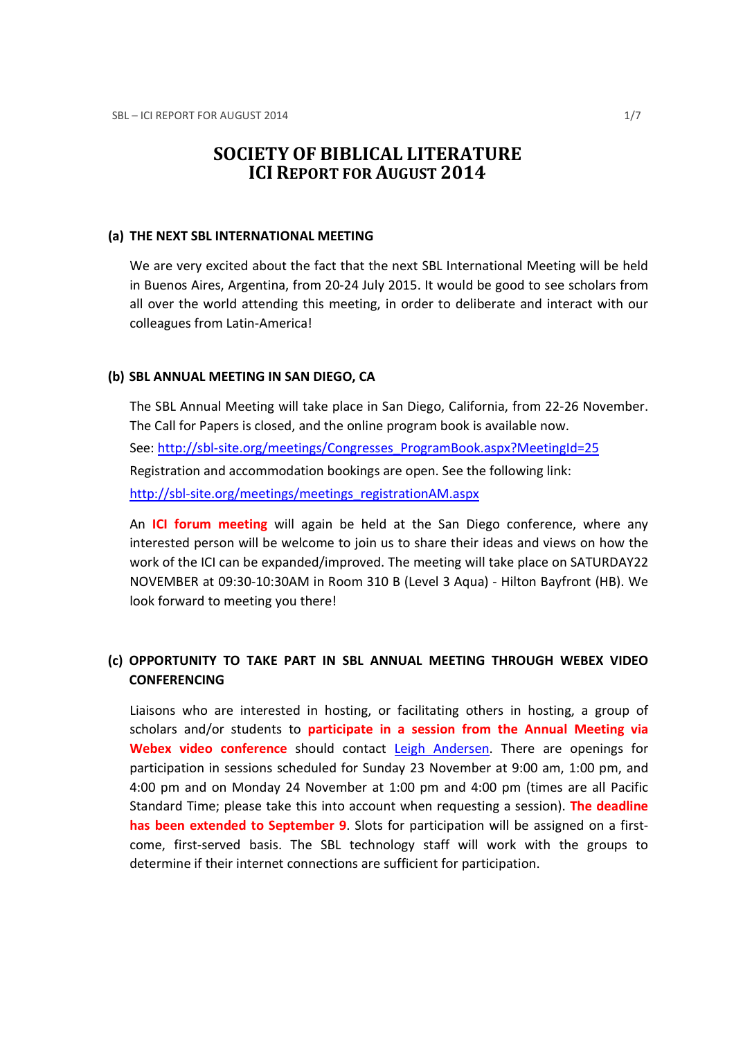# SOCIETY OF BIBLICAL LITERATURE ICI REPORT FOR AUGUST 2014

#### (a) THE NEXT SBL INTERNATIONAL MEETING

We are very excited about the fact that the next SBL International Meeting will be held in Buenos Aires, Argentina, from 20-24 July 2015. It would be good to see scholars from all over the world attending this meeting, in order to deliberate and interact with our colleagues from Latin-America!

#### (b) SBL ANNUAL MEETING IN SAN DIEGO, CA

The SBL Annual Meeting will take place in San Diego, California, from 22-26 November. The Call for Papers is closed, and the online program book is available now. See: http://sbl-site.org/meetings/Congresses\_ProgramBook.aspx?MeetingId=25 Registration and accommodation bookings are open. See the following link: http://sbl-site.org/meetings/meetings\_registrationAM.aspx

An ICI forum meeting will again be held at the San Diego conference, where any interested person will be welcome to join us to share their ideas and views on how the work of the ICI can be expanded/improved. The meeting will take place on SATURDAY22 NOVEMBER at 09:30-10:30AM in Room 310 B (Level 3 Aqua) - Hilton Bayfront (HB). We look forward to meeting you there!

# (c) OPPORTUNITY TO TAKE PART IN SBL ANNUAL MEETING THROUGH WEBEX VIDEO **CONFERENCING**

Liaisons who are interested in hosting, or facilitating others in hosting, a group of scholars and/or students to participate in a session from the Annual Meeting via Webex video conference should contact Leigh Andersen. There are openings for participation in sessions scheduled for Sunday 23 November at 9:00 am, 1:00 pm, and 4:00 pm and on Monday 24 November at 1:00 pm and 4:00 pm (times are all Pacific Standard Time; please take this into account when requesting a session). The deadline has been extended to September 9. Slots for participation will be assigned on a firstcome, first-served basis. The SBL technology staff will work with the groups to determine if their internet connections are sufficient for participation.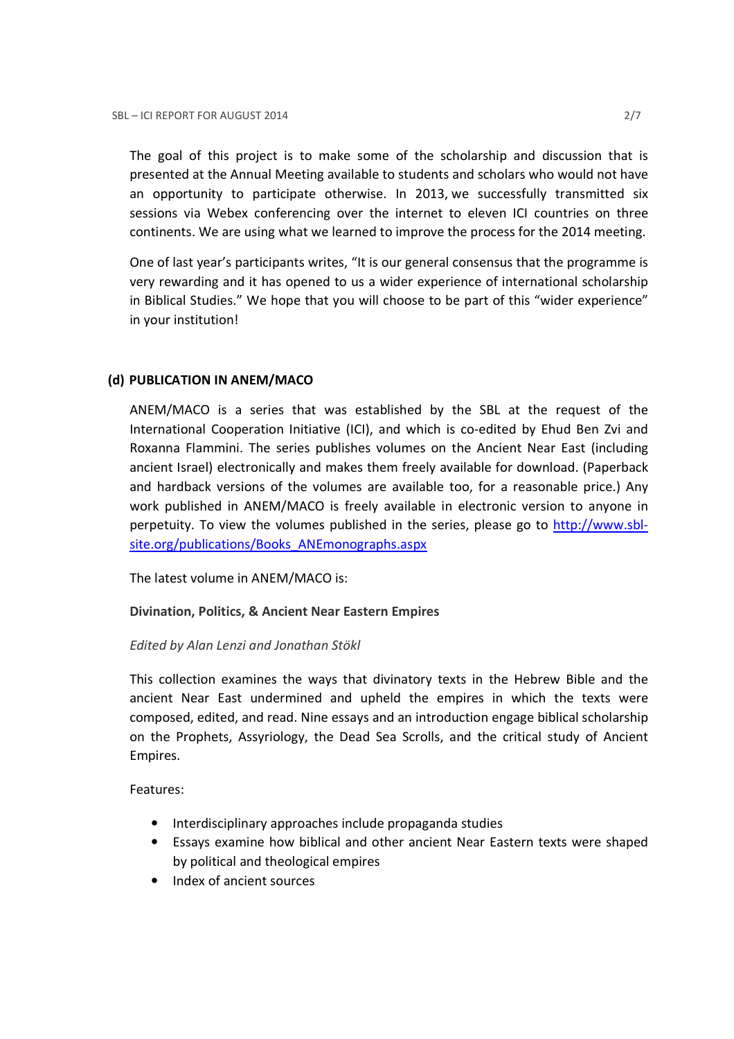The goal of this project is to make some of the scholarship and discussion that is presented at the Annual Meeting available to students and scholars who would not have an opportunity to participate otherwise. In 2013, we successfully transmitted six sessions via Webex conferencing over the internet to eleven ICI countries on three continents. We are using what we learned to improve the process for the 2014 meeting.

One of last year's participants writes, "It is our general consensus that the programme is very rewarding and it has opened to us a wider experience of international scholarship in Biblical Studies." We hope that you will choose to be part of this "wider experience" in your institution!

# (d) PUBLICATION IN ANEM/MACO

ANEM/MACO is a series that was established by the SBL at the request of the International Cooperation Initiative (ICI), and which is co-edited by Ehud Ben Zvi and Roxanna Flammini. The series publishes volumes on the Ancient Near East (including ancient Israel) electronically and makes them freely available for download. (Paperback and hardback versions of the volumes are available too, for a reasonable price.) Any work published in ANEM/MACO is freely available in electronic version to anyone in perpetuity. To view the volumes published in the series, please go to http://www.sblsite.org/publications/Books ANEmonographs.aspx

The latest volume in ANEM/MACO is:

# Divination, Politics, & Ancient Near Eastern Empires

# Edited by Alan Lenzi and Jonathan Stökl

This collection examines the ways that divinatory texts in the Hebrew Bible and the ancient Near East undermined and upheld the empires in which the texts were composed, edited, and read. Nine essays and an introduction engage biblical scholarship on the Prophets, Assyriology, the Dead Sea Scrolls, and the critical study of Ancient Empires.

Features:

- Interdisciplinary approaches include propaganda studies
- Essays examine how biblical and other ancient Near Eastern texts were shaped by political and theological empires
- Index of ancient sources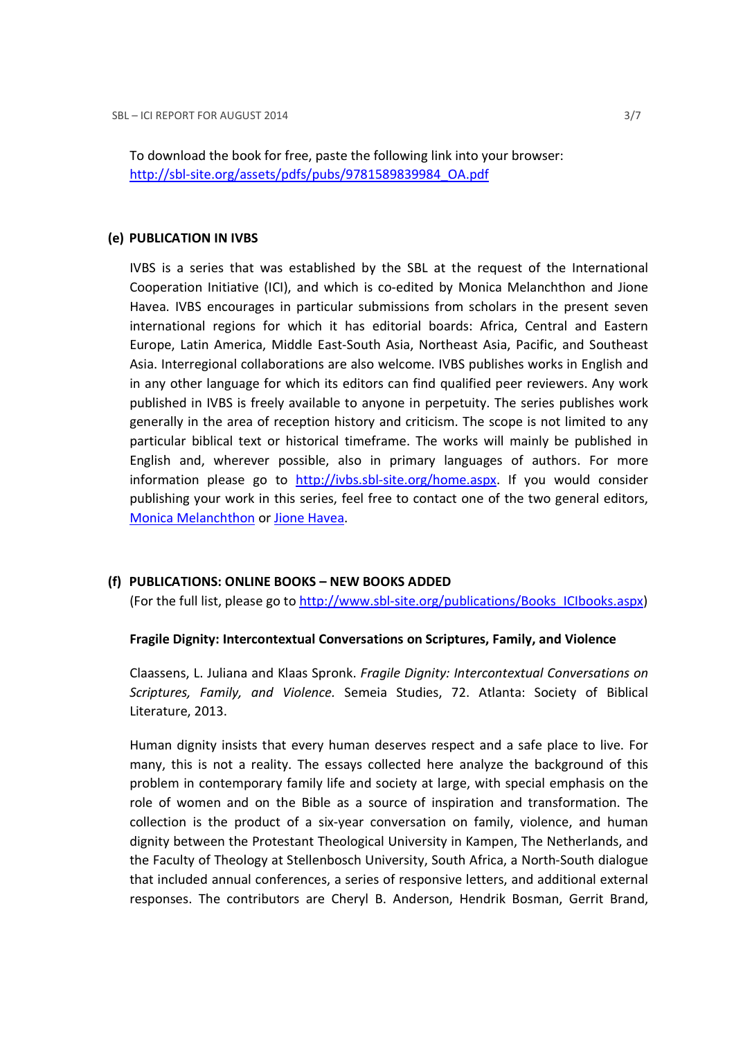To download the book for free, paste the following link into your browser: http://sbl-site.org/assets/pdfs/pubs/9781589839984\_OA.pdf

#### (e) PUBLICATION IN IVBS

IVBS is a series that was established by the SBL at the request of the International Cooperation Initiative (ICI), and which is co-edited by Monica Melanchthon and Jione Havea. IVBS encourages in particular submissions from scholars in the present seven international regions for which it has editorial boards: Africa, Central and Eastern Europe, Latin America, Middle East-South Asia, Northeast Asia, Pacific, and Southeast Asia. Interregional collaborations are also welcome. IVBS publishes works in English and in any other language for which its editors can find qualified peer reviewers. Any work published in IVBS is freely available to anyone in perpetuity. The series publishes work generally in the area of reception history and criticism. The scope is not limited to any particular biblical text or historical timeframe. The works will mainly be published in English and, wherever possible, also in primary languages of authors. For more information please go to http://ivbs.sbl-site.org/home.aspx. If you would consider publishing your work in this series, feel free to contact one of the two general editors, Monica Melanchthon or Jione Havea.

# (f) PUBLICATIONS: ONLINE BOOKS – NEW BOOKS ADDED

(For the full list, please go to http://www.sbl-site.org/publications/Books\_ICIbooks.aspx)

# Fragile Dignity: Intercontextual Conversations on Scriptures, Family, and Violence

Claassens, L. Juliana and Klaas Spronk. Fragile Dignity: Intercontextual Conversations on Scriptures, Family, and Violence. Semeia Studies, 72. Atlanta: Society of Biblical Literature, 2013.

Human dignity insists that every human deserves respect and a safe place to live. For many, this is not a reality. The essays collected here analyze the background of this problem in contemporary family life and society at large, with special emphasis on the role of women and on the Bible as a source of inspiration and transformation. The collection is the product of a six-year conversation on family, violence, and human dignity between the Protestant Theological University in Kampen, The Netherlands, and the Faculty of Theology at Stellenbosch University, South Africa, a North-South dialogue that included annual conferences, a series of responsive letters, and additional external responses. The contributors are Cheryl B. Anderson, Hendrik Bosman, Gerrit Brand,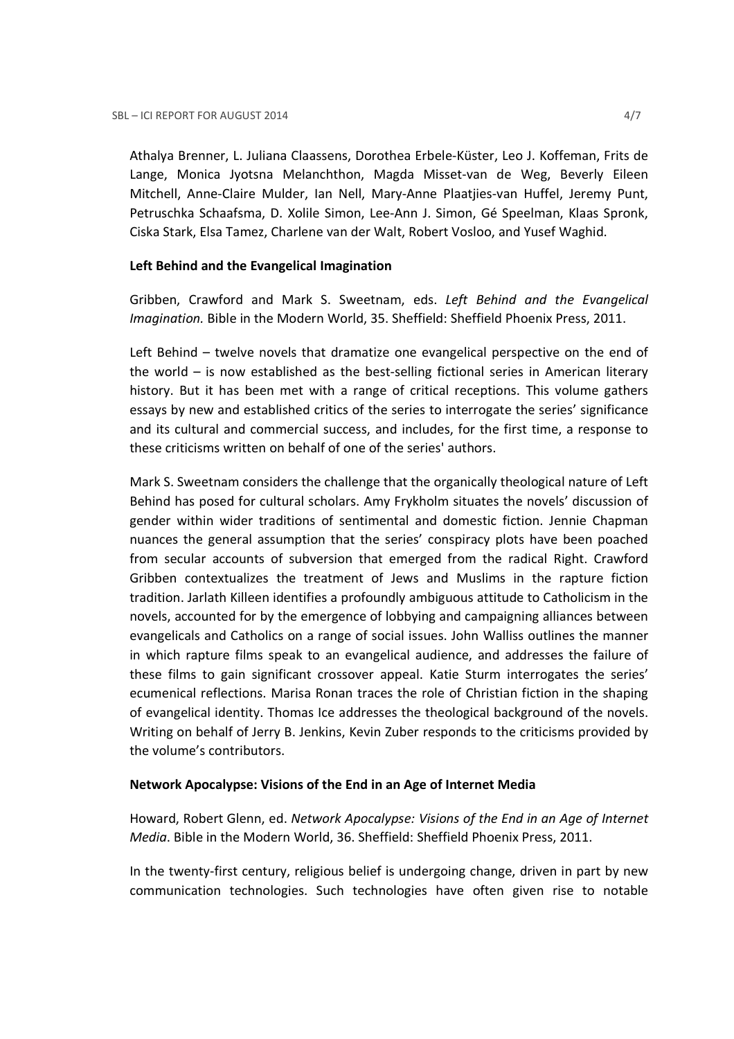Athalya Brenner, L. Juliana Claassens, Dorothea Erbele-Küster, Leo J. Koffeman, Frits de Lange, Monica Jyotsna Melanchthon, Magda Misset-van de Weg, Beverly Eileen Mitchell, Anne-Claire Mulder, Ian Nell, Mary-Anne Plaatjies-van Huffel, Jeremy Punt, Petruschka Schaafsma, D. Xolile Simon, Lee-Ann J. Simon, Gé Speelman, Klaas Spronk, Ciska Stark, Elsa Tamez, Charlene van der Walt, Robert Vosloo, and Yusef Waghid.

# Left Behind and the Evangelical Imagination

Gribben, Crawford and Mark S. Sweetnam, eds. Left Behind and the Evangelical Imagination. Bible in the Modern World, 35. Sheffield: Sheffield Phoenix Press, 2011.

Left Behind – twelve novels that dramatize one evangelical perspective on the end of the world – is now established as the best-selling fictional series in American literary history. But it has been met with a range of critical receptions. This volume gathers essays by new and established critics of the series to interrogate the series' significance and its cultural and commercial success, and includes, for the first time, a response to these criticisms written on behalf of one of the series' authors.

Mark S. Sweetnam considers the challenge that the organically theological nature of Left Behind has posed for cultural scholars. Amy Frykholm situates the novels' discussion of gender within wider traditions of sentimental and domestic fiction. Jennie Chapman nuances the general assumption that the series' conspiracy plots have been poached from secular accounts of subversion that emerged from the radical Right. Crawford Gribben contextualizes the treatment of Jews and Muslims in the rapture fiction tradition. Jarlath Killeen identifies a profoundly ambiguous attitude to Catholicism in the novels, accounted for by the emergence of lobbying and campaigning alliances between evangelicals and Catholics on a range of social issues. John Walliss outlines the manner in which rapture films speak to an evangelical audience, and addresses the failure of these films to gain significant crossover appeal. Katie Sturm interrogates the series' ecumenical reflections. Marisa Ronan traces the role of Christian fiction in the shaping of evangelical identity. Thomas Ice addresses the theological background of the novels. Writing on behalf of Jerry B. Jenkins, Kevin Zuber responds to the criticisms provided by the volume's contributors.

# Network Apocalypse: Visions of the End in an Age of Internet Media

Howard, Robert Glenn, ed. Network Apocalypse: Visions of the End in an Age of Internet Media. Bible in the Modern World, 36. Sheffield: Sheffield Phoenix Press, 2011.

In the twenty-first century, religious belief is undergoing change, driven in part by new communication technologies. Such technologies have often given rise to notable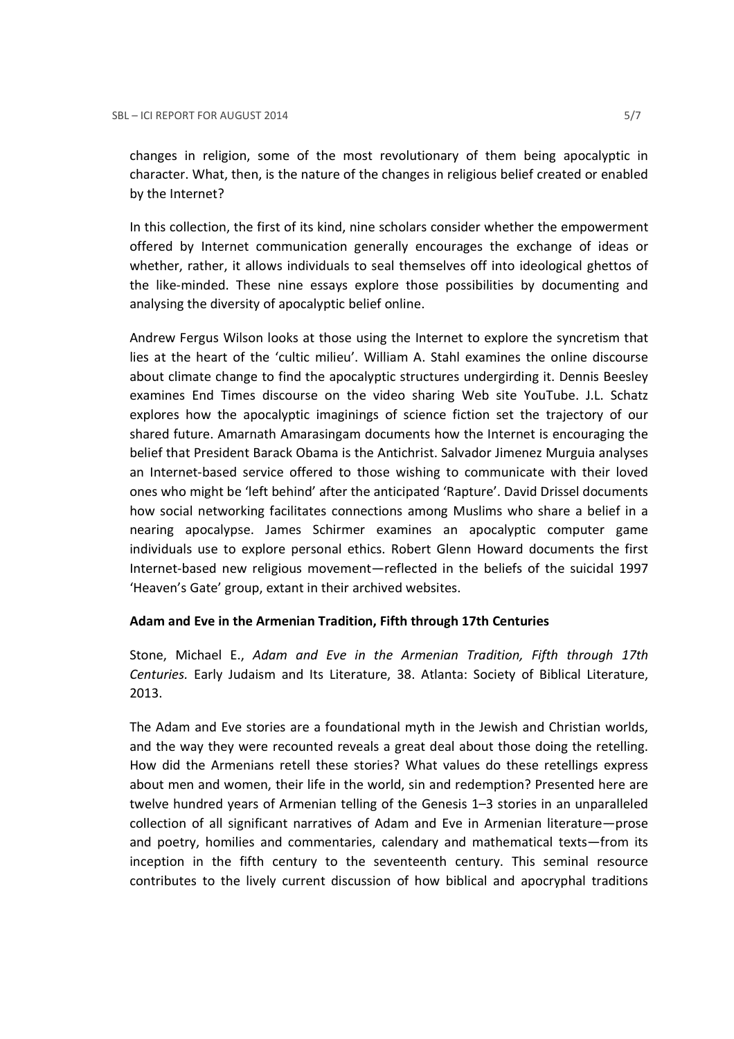changes in religion, some of the most revolutionary of them being apocalyptic in character. What, then, is the nature of the changes in religious belief created or enabled by the Internet?

In this collection, the first of its kind, nine scholars consider whether the empowerment offered by Internet communication generally encourages the exchange of ideas or whether, rather, it allows individuals to seal themselves off into ideological ghettos of the like-minded. These nine essays explore those possibilities by documenting and analysing the diversity of apocalyptic belief online.

Andrew Fergus Wilson looks at those using the Internet to explore the syncretism that lies at the heart of the 'cultic milieu'. William A. Stahl examines the online discourse about climate change to find the apocalyptic structures undergirding it. Dennis Beesley examines End Times discourse on the video sharing Web site YouTube. J.L. Schatz explores how the apocalyptic imaginings of science fiction set the trajectory of our shared future. Amarnath Amarasingam documents how the Internet is encouraging the belief that President Barack Obama is the Antichrist. Salvador Jimenez Murguia analyses an Internet-based service offered to those wishing to communicate with their loved ones who might be 'left behind' after the anticipated 'Rapture'. David Drissel documents how social networking facilitates connections among Muslims who share a belief in a nearing apocalypse. James Schirmer examines an apocalyptic computer game individuals use to explore personal ethics. Robert Glenn Howard documents the first Internet-based new religious movement—reflected in the beliefs of the suicidal 1997 'Heaven's Gate' group, extant in their archived websites.

# Adam and Eve in the Armenian Tradition, Fifth through 17th Centuries

Stone, Michael E., Adam and Eve in the Armenian Tradition, Fifth through 17th Centuries. Early Judaism and Its Literature, 38. Atlanta: Society of Biblical Literature, 2013.

The Adam and Eve stories are a foundational myth in the Jewish and Christian worlds, and the way they were recounted reveals a great deal about those doing the retelling. How did the Armenians retell these stories? What values do these retellings express about men and women, their life in the world, sin and redemption? Presented here are twelve hundred years of Armenian telling of the Genesis 1–3 stories in an unparalleled collection of all significant narratives of Adam and Eve in Armenian literature—prose and poetry, homilies and commentaries, calendary and mathematical texts—from its inception in the fifth century to the seventeenth century. This seminal resource contributes to the lively current discussion of how biblical and apocryphal traditions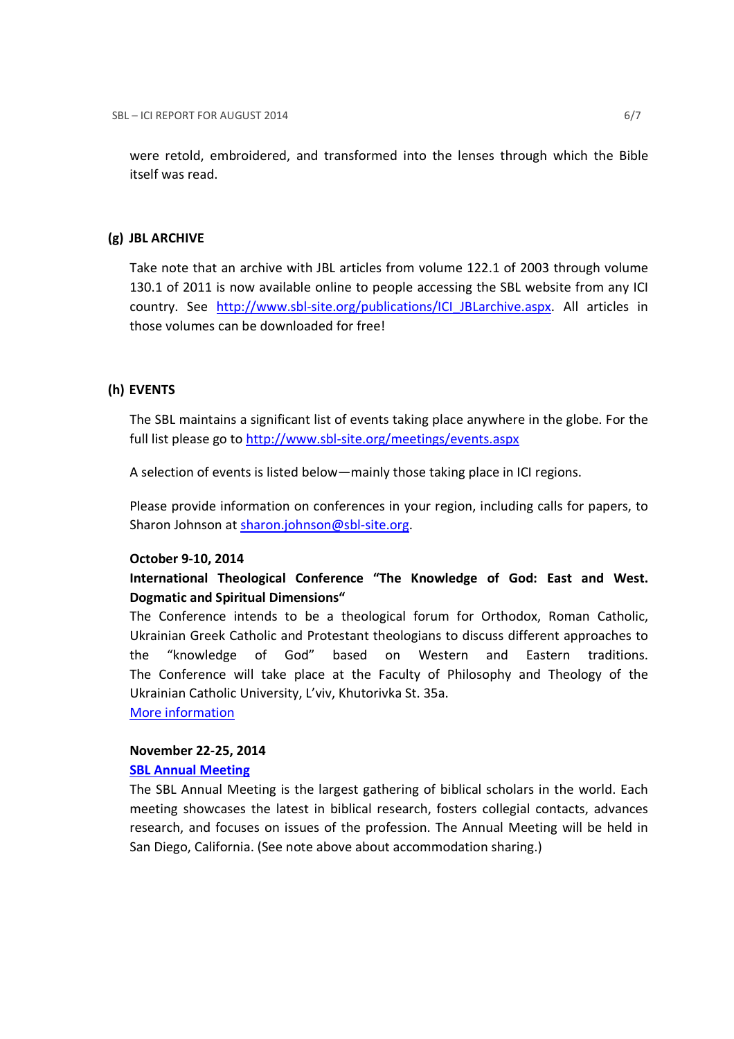were retold, embroidered, and transformed into the lenses through which the Bible itself was read.

#### (g) JBL ARCHIVE

Take note that an archive with JBL articles from volume 122.1 of 2003 through volume 130.1 of 2011 is now available online to people accessing the SBL website from any ICI country. See http://www.sbl-site.org/publications/ICI\_JBLarchive.aspx. All articles in those volumes can be downloaded for free!

# (h) EVENTS

The SBL maintains a significant list of events taking place anywhere in the globe. For the full list please go to http://www.sbl-site.org/meetings/events.aspx

A selection of events is listed below—mainly those taking place in ICI regions.

Please provide information on conferences in your region, including calls for papers, to Sharon Johnson at sharon.johnson@sbl-site.org.

#### October 9-10, 2014

# International Theological Conference "The Knowledge of God: East and West. Dogmatic and Spiritual Dimensions"

The Conference intends to be a theological forum for Orthodox, Roman Catholic, Ukrainian Greek Catholic and Protestant theologians to discuss different approaches to the "knowledge of God" based on Western and Eastern traditions. The Conference will take place at the Faculty of Philosophy and Theology of the Ukrainian Catholic University, L'viv, Khutorivka St. 35a.

More information

#### November 22-25, 2014

#### SBL Annual Meeting

The SBL Annual Meeting is the largest gathering of biblical scholars in the world. Each meeting showcases the latest in biblical research, fosters collegial contacts, advances research, and focuses on issues of the profession. The Annual Meeting will be held in San Diego, California. (See note above about accommodation sharing.)